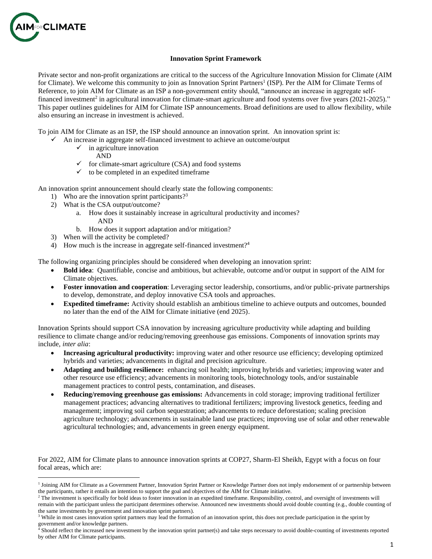

## **Innovation Sprint Framework**

Private sector and non-profit organizations are critical to the success of the Agriculture Innovation Mission for Climate (AIM for Climate). We welcome this community to join as Innovation Sprint Partners<sup>1</sup> (ISP). Per the AIM for Climate Terms of Reference, to join AIM for Climate as an ISP a non-government entity should, "announce an increase in aggregate selffinanced investment<sup>2</sup> in agricultural innovation for climate-smart agriculture and food systems over five years (2021-2025)." This paper outlines guidelines for AIM for Climate ISP announcements. Broad definitions are used to allow flexibility, while also ensuring an increase in investment is achieved.

To join AIM for Climate as an ISP, the ISP should announce an innovation sprint. An innovation sprint is:

- $\checkmark$  An increase in aggregate self-financed investment to achieve an outcome/output
	- $\checkmark$  in agriculture innovation
		- AND
	- $\checkmark$  for climate-smart agriculture (CSA) and food systems
	- $\checkmark$  to be completed in an expedited timeframe

An innovation sprint announcement should clearly state the following components:

- 1) Who are the innovation sprint participants?<sup>3</sup>
- 2) What is the CSA output/outcome?
	- a. How does it sustainably increase in agricultural productivity and incomes? AND
	- b. How does it support adaptation and/or mitigation?
- 3) When will the activity be completed?
- 4) How much is the increase in aggregate self-financed investment?<sup>4</sup>

The following organizing principles should be considered when developing an innovation sprint:

- **Bold idea**: Quantifiable, concise and ambitious, but achievable, outcome and/or output in support of the AIM for Climate objectives.
- **Foster innovation and cooperation**: Leveraging sector leadership, consortiums, and/or public-private partnerships to develop, demonstrate, and deploy innovative CSA tools and approaches.
- **Expedited timeframe:** Activity should establish an ambitious timeline to achieve outputs and outcomes, bounded no later than the end of the AIM for Climate initiative (end 2025).

Innovation Sprints should support CSA innovation by increasing agriculture productivity while adapting and building resilience to climate change and/or reducing/removing greenhouse gas emissions. Components of innovation sprints may include, *inter alia*:

- **Increasing agricultural productivity:** improving water and other resource use efficiency; developing optimized hybrids and varieties; advancements in digital and precision agriculture.
- **Adapting and building resilience:** enhancing soil health; improving hybrids and varieties; improving water and other resource use efficiency; advancements in monitoring tools, biotechnology tools, and/or sustainable management practices to control pests, contamination, and diseases.
- **Reducing/removing greenhouse gas emissions:** Advancements in cold storage; improving traditional fertilizer management practices; advancing alternatives to traditional fertilizers; improving livestock genetics, feeding and management; improving soil carbon sequestration; advancements to reduce deforestation; scaling precision agriculture technology; advancements in sustainable land use practices; improving use of solar and other renewable agricultural technologies; and, advancements in green energy equipment.

For 2022, AIM for Climate plans to announce innovation sprints at COP27, Sharm-El Sheikh, Egypt with a focus on four focal areas, which are:

<sup>&</sup>lt;sup>1</sup> Joining AIM for Climate as a Government Partner, Innovation Sprint Partner or Knowledge Partner does not imply endorsement of or partnership between the participants, rather it entails an intention to support the goal and objectives of the AIM for Climate initiative.

<sup>&</sup>lt;sup>2</sup> The investment is specifically for bold ideas to foster innovation in an expedited timeframe. Responsibility, control, and oversight of investments will remain with the participant unless the participant determines otherwise. Announced new investments should avoid double counting (e.g., double counting of the same investments by government and innovation sprint partners).

<sup>&</sup>lt;sup>3</sup> While in most cases innovation sprint partners may lead the formation of an innovation sprint, this does not preclude participation in the sprint by government and/or knowledge partners.

<sup>4</sup> Should reflect the increased new investment by the innovation sprint partner(s) and take steps necessary to avoid double-counting of investments reported by other AIM for Climate participants.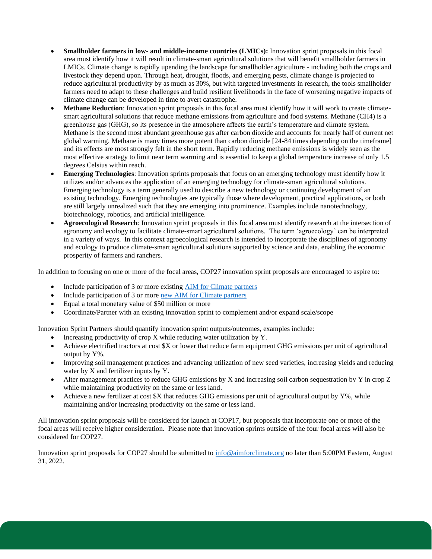- **Smallholder farmers in low- and middle-income countries (LMICs):** Innovation sprint proposals in this focal area must identify how it will result in climate-smart agricultural solutions that will benefit smallholder farmers in LMICs. Climate change is rapidly upending the landscape for smallholder agriculture - including both the crops and livestock they depend upon. Through heat, drought, floods, and emerging pests, climate change is projected to reduce agricultural productivity by as much as 30%, but with targeted investments in research, the tools smallholder farmers need to adapt to these challenges and build resilient livelihoods in the face of worsening negative impacts of climate change can be developed in time to avert catastrophe.
- **Methane Reduction**: Innovation sprint proposals in this focal area must identify how it will work to create climatesmart agricultural solutions that reduce methane emissions from agriculture and food systems. Methane (CH4) is a greenhouse gas (GHG), so its presence in the atmosphere affects the earth's temperature and climate system. Methane is the second most abundant greenhouse gas after carbon dioxide and accounts for nearly half of current net global warming. Methane is many times more potent than carbon dioxide [24-84 times depending on the timeframe] and its effects are most strongly felt in the short term. Rapidly reducing methane emissions is widely seen as the most effective strategy to limit near term warming and is essential to keep a global temperature increase of only 1.5 degrees Celsius within reach.
- **Emerging Technologies**: Innovation sprints proposals that focus on an emerging technology must identify how it utilizes and/or advances the application of an emerging technology for climate-smart agricultural solutions. Emerging technology is a term generally used to describe a new technology or continuing development of an existing technology. Emerging technologies are typically those where development, practical applications, or both are still largely unrealized such that they are emerging into prominence. Examples include nanotechnology, biotechnology, robotics, and artificial intelligence.
- **Agroecological Research**: Innovation sprint proposals in this focal area must identify research at the intersection of agronomy and ecology to facilitate climate-smart agricultural solutions. The term 'agroecology' can be interpreted in a variety of ways. In this context agroecological research is intended to incorporate the disciplines of agronomy and ecology to produce climate-smart agricultural solutions supported by science and data, enabling the economic prosperity of farmers and ranchers.

In addition to focusing on one or more of the focal areas, COP27 innovation sprint proposals are encouraged to aspire to:

- Include participation of 3 or more existing [AIM for Climate partners](https://aimforclimate.org/#partners)
- Include participation of 3 or mor[e new AIM for Climate partners](https://aimforclimate.org/#get-involved)
- Equal a total monetary value of \$50 million or more
- Coordinate/Partner with an existing innovation sprint to complement and/or expand scale/scope

Innovation Sprint Partners should quantify innovation sprint outputs/outcomes, examples include:

- Increasing productivity of crop  $X$  while reducing water utilization by  $Y$ .
- Achieve electrified tractors at cost \$X or lower that reduce farm equipment GHG emissions per unit of agricultural output by Y%.
- Improving soil management practices and advancing utilization of new seed varieties, increasing yields and reducing water by X and fertilizer inputs by Y.
- Alter management practices to reduce GHG emissions by X and increasing soil carbon sequestration by Y in crop Z while maintaining productivity on the same or less land.
- Achieve a new fertilizer at cost \$X that reduces GHG emissions per unit of agricultural output by Y%, while maintaining and/or increasing productivity on the same or less land.

All innovation sprint proposals will be considered for launch at COP17, but proposals that incorporate one or more of the focal areas will receive higher consideration. Please note that innovation sprints outside of the four focal areas will also be considered for COP27.

Innovation sprint proposals for COP27 should be submitted to [info@aimforclimate.org](mailto:info@aimforclimate.org) no later than 5:00PM Eastern, August 31, 2022.